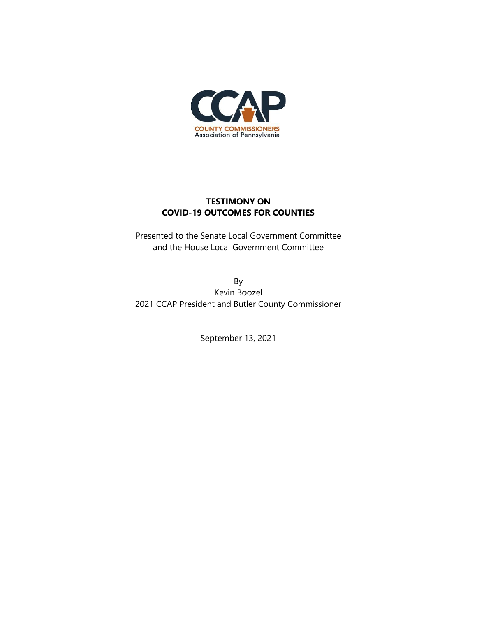

## **TESTIMONY ON COVID-19 OUTCOMES FOR COUNTIES**

Presented to the Senate Local Government Committee and the House Local Government Committee

By Kevin Boozel 2021 CCAP President and Butler County Commissioner

September 13, 2021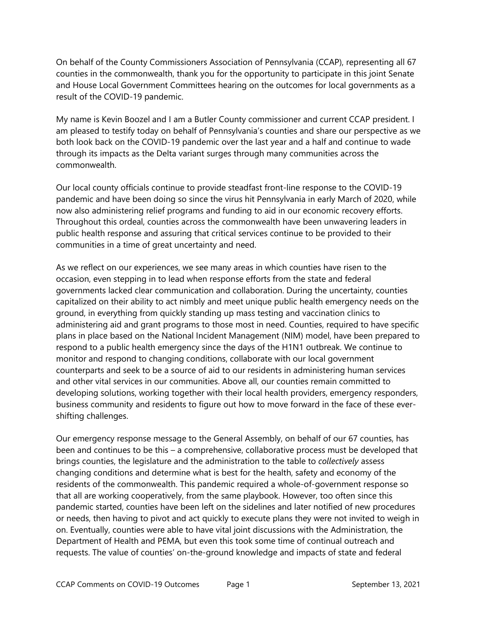On behalf of the County Commissioners Association of Pennsylvania (CCAP), representing all 67 counties in the commonwealth, thank you for the opportunity to participate in this joint Senate and House Local Government Committees hearing on the outcomes for local governments as a result of the COVID-19 pandemic.

My name is Kevin Boozel and I am a Butler County commissioner and current CCAP president. I am pleased to testify today on behalf of Pennsylvania's counties and share our perspective as we both look back on the COVID-19 pandemic over the last year and a half and continue to wade through its impacts as the Delta variant surges through many communities across the commonwealth.

Our local county officials continue to provide steadfast front-line response to the COVID-19 pandemic and have been doing so since the virus hit Pennsylvania in early March of 2020, while now also administering relief programs and funding to aid in our economic recovery efforts. Throughout this ordeal, counties across the commonwealth have been unwavering leaders in public health response and assuring that critical services continue to be provided to their communities in a time of great uncertainty and need.

As we reflect on our experiences, we see many areas in which counties have risen to the occasion, even stepping in to lead when response efforts from the state and federal governments lacked clear communication and collaboration. During the uncertainty, counties capitalized on their ability to act nimbly and meet unique public health emergency needs on the ground, in everything from quickly standing up mass testing and vaccination clinics to administering aid and grant programs to those most in need. Counties, required to have specific plans in place based on the National Incident Management (NIM) model, have been prepared to respond to a public health emergency since the days of the H1N1 outbreak. We continue to monitor and respond to changing conditions, collaborate with our local government counterparts and seek to be a source of aid to our residents in administering human services and other vital services in our communities. Above all, our counties remain committed to developing solutions, working together with their local health providers, emergency responders, business community and residents to figure out how to move forward in the face of these evershifting challenges.

Our emergency response message to the General Assembly, on behalf of our 67 counties, has been and continues to be this – a comprehensive, collaborative process must be developed that brings counties, the legislature and the administration to the table to *collectively* assess changing conditions and determine what is best for the health, safety and economy of the residents of the commonwealth. This pandemic required a whole-of-government response so that all are working cooperatively, from the same playbook. However, too often since this pandemic started, counties have been left on the sidelines and later notified of new procedures or needs, then having to pivot and act quickly to execute plans they were not invited to weigh in on. Eventually, counties were able to have vital joint discussions with the Administration, the Department of Health and PEMA, but even this took some time of continual outreach and requests. The value of counties' on-the-ground knowledge and impacts of state and federal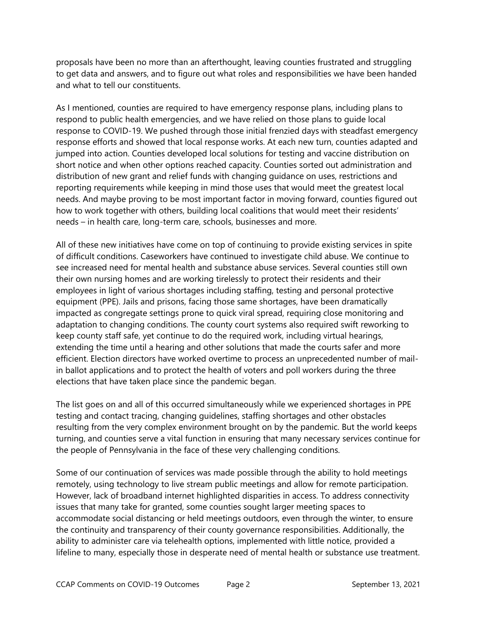proposals have been no more than an afterthought, leaving counties frustrated and struggling to get data and answers, and to figure out what roles and responsibilities we have been handed and what to tell our constituents.

As I mentioned, counties are required to have emergency response plans, including plans to respond to public health emergencies, and we have relied on those plans to guide local response to COVID-19. We pushed through those initial frenzied days with steadfast emergency response efforts and showed that local response works. At each new turn, counties adapted and jumped into action. Counties developed local solutions for testing and vaccine distribution on short notice and when other options reached capacity. Counties sorted out administration and distribution of new grant and relief funds with changing guidance on uses, restrictions and reporting requirements while keeping in mind those uses that would meet the greatest local needs. And maybe proving to be most important factor in moving forward, counties figured out how to work together with others, building local coalitions that would meet their residents' needs – in health care, long-term care, schools, businesses and more.

All of these new initiatives have come on top of continuing to provide existing services in spite of difficult conditions. Caseworkers have continued to investigate child abuse. We continue to see increased need for mental health and substance abuse services. Several counties still own their own nursing homes and are working tirelessly to protect their residents and their employees in light of various shortages including staffing, testing and personal protective equipment (PPE). Jails and prisons, facing those same shortages, have been dramatically impacted as congregate settings prone to quick viral spread, requiring close monitoring and adaptation to changing conditions. The county court systems also required swift reworking to keep county staff safe, yet continue to do the required work, including virtual hearings, extending the time until a hearing and other solutions that made the courts safer and more efficient. Election directors have worked overtime to process an unprecedented number of mailin ballot applications and to protect the health of voters and poll workers during the three elections that have taken place since the pandemic began.

The list goes on and all of this occurred simultaneously while we experienced shortages in PPE testing and contact tracing, changing guidelines, staffing shortages and other obstacles resulting from the very complex environment brought on by the pandemic. But the world keeps turning, and counties serve a vital function in ensuring that many necessary services continue for the people of Pennsylvania in the face of these very challenging conditions.

Some of our continuation of services was made possible through the ability to hold meetings remotely, using technology to live stream public meetings and allow for remote participation. However, lack of broadband internet highlighted disparities in access. To address connectivity issues that many take for granted, some counties sought larger meeting spaces to accommodate social distancing or held meetings outdoors, even through the winter, to ensure the continuity and transparency of their county governance responsibilities. Additionally, the ability to administer care via telehealth options, implemented with little notice, provided a lifeline to many, especially those in desperate need of mental health or substance use treatment.